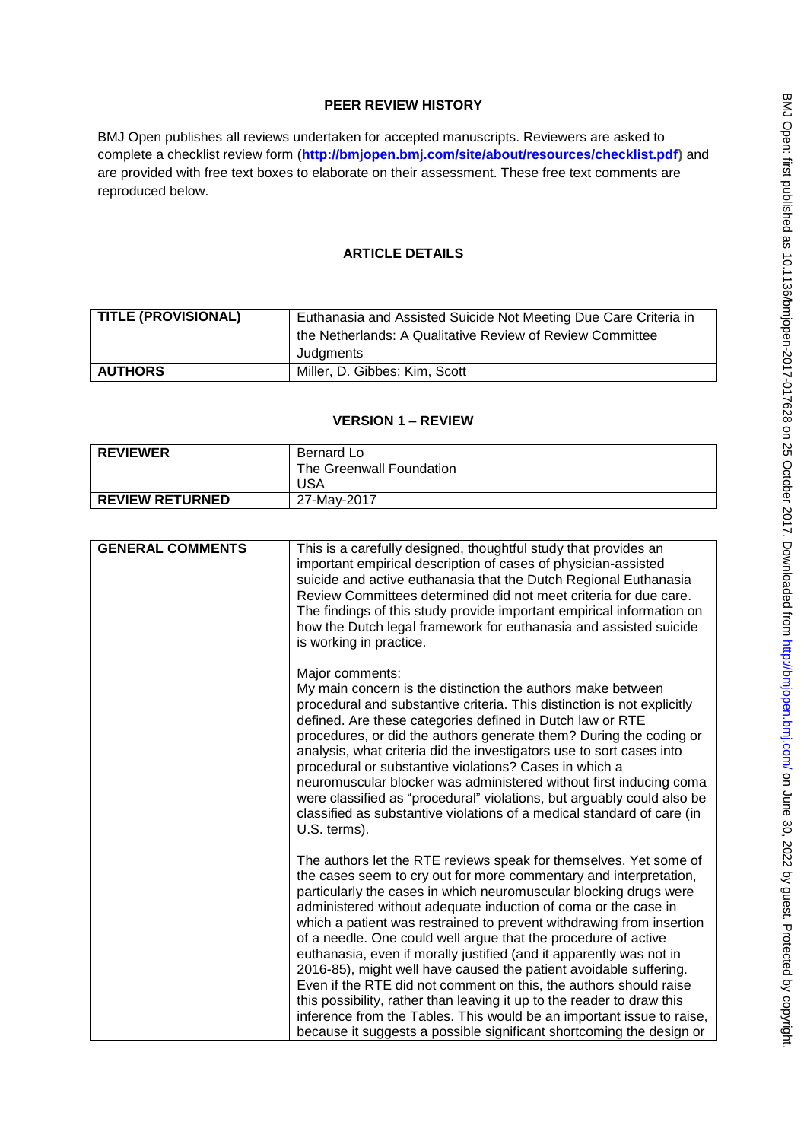# **PEER REVIEW HISTORY**

BMJ Open publishes all reviews undertaken for accepted manuscripts. Reviewers are asked to complete a checklist review form (**[http://bmjopen.bmj.com/site/about/resources/checklist.pdf\)](http://bmjopen.bmj.com/site/about/resources/checklist.pdf)** and are provided with free text boxes to elaborate on their assessment. These free text comments are reproduced below.

# **ARTICLE DETAILS**

| <b>TITLE (PROVISIONAL)</b> | Euthanasia and Assisted Suicide Not Meeting Due Care Criteria in |
|----------------------------|------------------------------------------------------------------|
|                            | the Netherlands: A Qualitative Review of Review Committee        |
|                            | Judgments                                                        |
| <b>AUTHORS</b>             | Miller, D. Gibbes; Kim, Scott                                    |

## **VERSION 1 – REVIEW**

| <b>REVIEWER</b>        | Bernard Lo<br>The Greenwall Foundation<br>USA |
|------------------------|-----------------------------------------------|
| <b>REVIEW RETURNED</b> | 27-May-2017                                   |

| <b>GENERAL COMMENTS</b> | This is a carefully designed, thoughtful study that provides an<br>important empirical description of cases of physician-assisted<br>suicide and active euthanasia that the Dutch Regional Euthanasia<br>Review Committees determined did not meet criteria for due care.<br>The findings of this study provide important empirical information on<br>how the Dutch legal framework for euthanasia and assisted suicide<br>is working in practice.                                                                                                                                                                                                                                                                                                                                                                                                                  |
|-------------------------|---------------------------------------------------------------------------------------------------------------------------------------------------------------------------------------------------------------------------------------------------------------------------------------------------------------------------------------------------------------------------------------------------------------------------------------------------------------------------------------------------------------------------------------------------------------------------------------------------------------------------------------------------------------------------------------------------------------------------------------------------------------------------------------------------------------------------------------------------------------------|
|                         | Major comments:<br>My main concern is the distinction the authors make between<br>procedural and substantive criteria. This distinction is not explicitly<br>defined. Are these categories defined in Dutch law or RTE<br>procedures, or did the authors generate them? During the coding or<br>analysis, what criteria did the investigators use to sort cases into<br>procedural or substantive violations? Cases in which a<br>neuromuscular blocker was administered without first inducing coma<br>were classified as "procedural" violations, but arguably could also be<br>classified as substantive violations of a medical standard of care (in<br>U.S. terms).                                                                                                                                                                                            |
|                         | The authors let the RTE reviews speak for themselves. Yet some of<br>the cases seem to cry out for more commentary and interpretation,<br>particularly the cases in which neuromuscular blocking drugs were<br>administered without adequate induction of coma or the case in<br>which a patient was restrained to prevent withdrawing from insertion<br>of a needle. One could well argue that the procedure of active<br>euthanasia, even if morally justified (and it apparently was not in<br>2016-85), might well have caused the patient avoidable suffering.<br>Even if the RTE did not comment on this, the authors should raise<br>this possibility, rather than leaving it up to the reader to draw this<br>inference from the Tables. This would be an important issue to raise,<br>because it suggests a possible significant shortcoming the design or |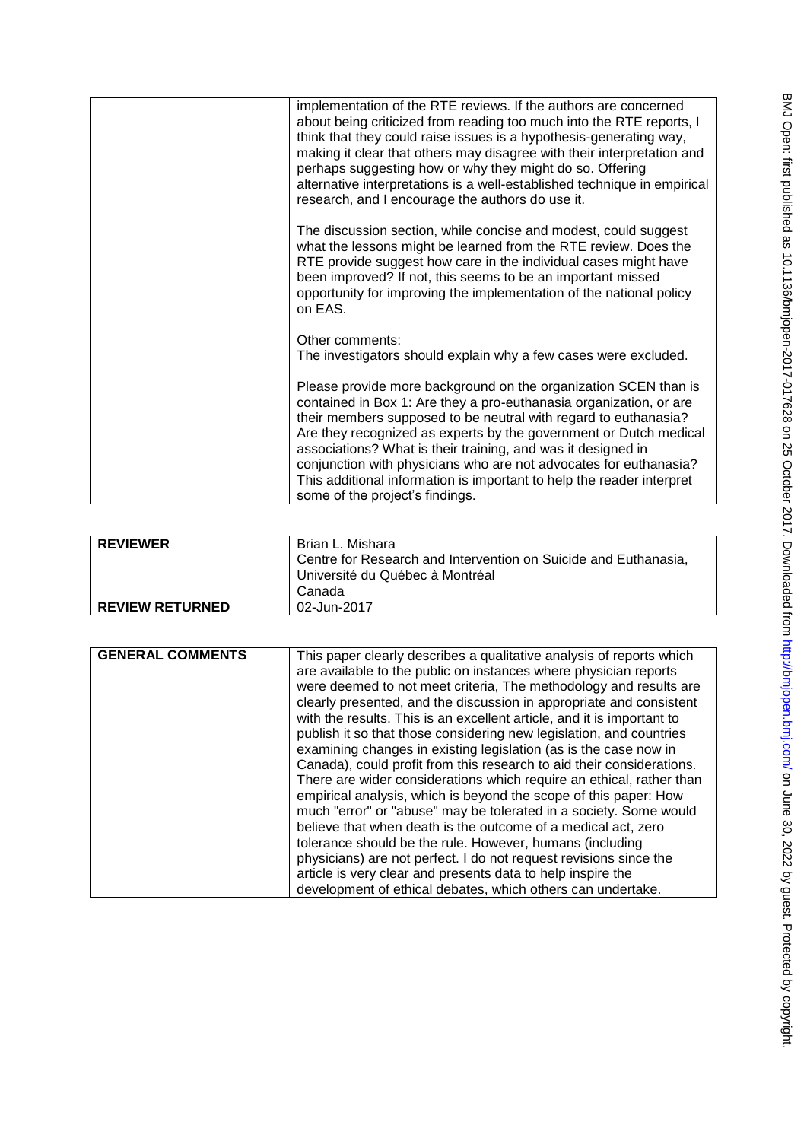| implementation of the RTE reviews. If the authors are concerned<br>about being criticized from reading too much into the RTE reports, I<br>think that they could raise issues is a hypothesis-generating way,<br>making it clear that others may disagree with their interpretation and<br>perhaps suggesting how or why they might do so. Offering<br>alternative interpretations is a well-established technique in empirical<br>research, and I encourage the authors do use it.                                            |
|--------------------------------------------------------------------------------------------------------------------------------------------------------------------------------------------------------------------------------------------------------------------------------------------------------------------------------------------------------------------------------------------------------------------------------------------------------------------------------------------------------------------------------|
| The discussion section, while concise and modest, could suggest<br>what the lessons might be learned from the RTE review. Does the<br>RTE provide suggest how care in the individual cases might have<br>been improved? If not, this seems to be an important missed<br>opportunity for improving the implementation of the national policy<br>on EAS.                                                                                                                                                                         |
| Other comments:<br>The investigators should explain why a few cases were excluded.                                                                                                                                                                                                                                                                                                                                                                                                                                             |
| Please provide more background on the organization SCEN than is<br>contained in Box 1: Are they a pro-euthanasia organization, or are<br>their members supposed to be neutral with regard to euthanasia?<br>Are they recognized as experts by the government or Dutch medical<br>associations? What is their training, and was it designed in<br>conjunction with physicians who are not advocates for euthanasia?<br>This additional information is important to help the reader interpret<br>some of the project's findings. |

| <b>REVIEWER</b>        | Brian L. Mishara<br>Centre for Research and Intervention on Suicide and Euthanasia,<br>Université du Québec à Montréal<br>Canada. |
|------------------------|-----------------------------------------------------------------------------------------------------------------------------------|
| <b>REVIEW RETURNED</b> | 02-Jun-2017                                                                                                                       |

| <b>GENERAL COMMENTS</b> | This paper clearly describes a qualitative analysis of reports which<br>are available to the public on instances where physician reports<br>were deemed to not meet criteria, The methodology and results are<br>clearly presented, and the discussion in appropriate and consistent<br>with the results. This is an excellent article, and it is important to<br>publish it so that those considering new legislation, and countries<br>examining changes in existing legislation (as is the case now in<br>Canada), could profit from this research to aid their considerations.<br>There are wider considerations which require an ethical, rather than<br>empirical analysis, which is beyond the scope of this paper: How<br>much "error" or "abuse" may be tolerated in a society. Some would<br>believe that when death is the outcome of a medical act, zero<br>tolerance should be the rule. However, humans (including |
|-------------------------|----------------------------------------------------------------------------------------------------------------------------------------------------------------------------------------------------------------------------------------------------------------------------------------------------------------------------------------------------------------------------------------------------------------------------------------------------------------------------------------------------------------------------------------------------------------------------------------------------------------------------------------------------------------------------------------------------------------------------------------------------------------------------------------------------------------------------------------------------------------------------------------------------------------------------------|
|                         | physicians) are not perfect. I do not request revisions since the<br>article is very clear and presents data to help inspire the<br>development of ethical debates, which others can undertake.                                                                                                                                                                                                                                                                                                                                                                                                                                                                                                                                                                                                                                                                                                                                  |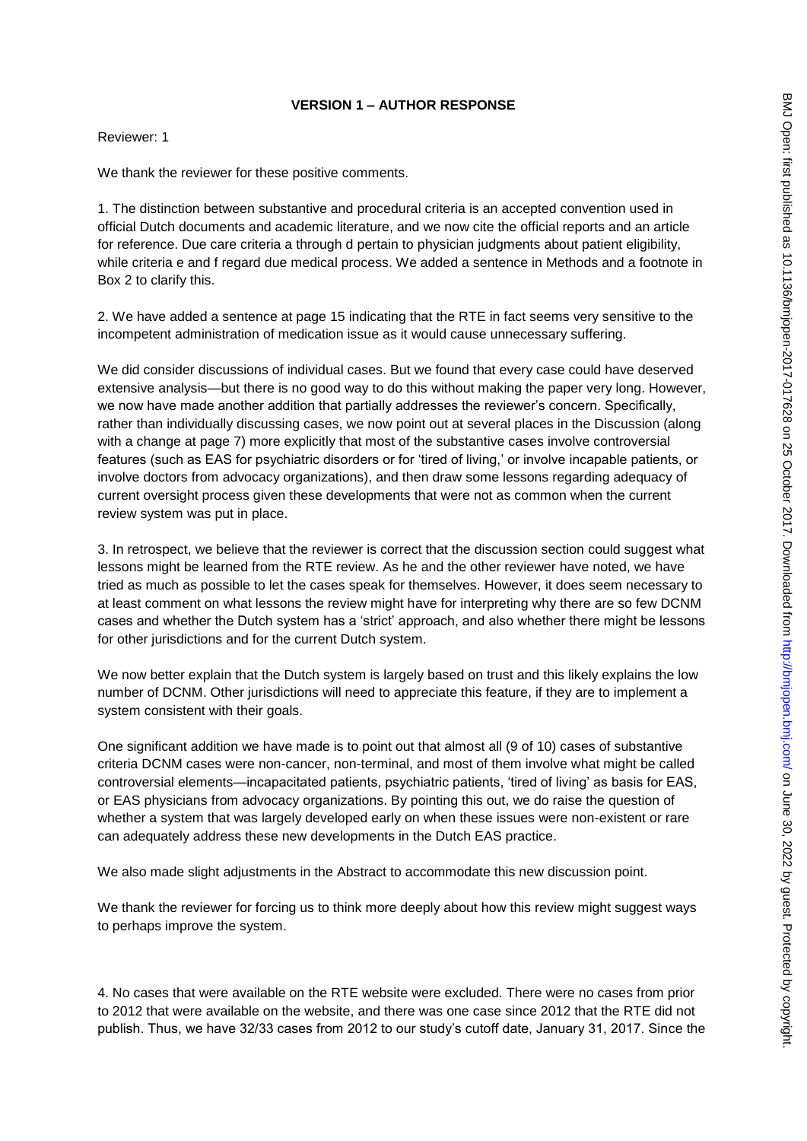### **VERSION 1 – AUTHOR RESPONSE**

Reviewer: 1

We thank the reviewer for these positive comments.

1. The distinction between substantive and procedural criteria is an accepted convention used in official Dutch documents and academic literature, and we now cite the official reports and an article for reference. Due care criteria a through d pertain to physician judgments about patient eligibility, while criteria e and f regard due medical process. We added a sentence in Methods and a footnote in Box 2 to clarify this.

2. We have added a sentence at page 15 indicating that the RTE in fact seems very sensitive to the incompetent administration of medication issue as it would cause unnecessary suffering.

We did consider discussions of individual cases. But we found that every case could have deserved extensive analysis—but there is no good way to do this without making the paper very long. However, we now have made another addition that partially addresses the reviewer"s concern. Specifically, rather than individually discussing cases, we now point out at several places in the Discussion (along with a change at page 7) more explicitly that most of the substantive cases involve controversial features (such as EAS for psychiatric disorders or for "tired of living," or involve incapable patients, or involve doctors from advocacy organizations), and then draw some lessons regarding adequacy of current oversight process given these developments that were not as common when the current review system was put in place.

3. In retrospect, we believe that the reviewer is correct that the discussion section could suggest what lessons might be learned from the RTE review. As he and the other reviewer have noted, we have tried as much as possible to let the cases speak for themselves. However, it does seem necessary to at least comment on what lessons the review might have for interpreting why there are so few DCNM cases and whether the Dutch system has a "strict" approach, and also whether there might be lessons for other jurisdictions and for the current Dutch system.

We now better explain that the Dutch system is largely based on trust and this likely explains the low number of DCNM. Other jurisdictions will need to appreciate this feature, if they are to implement a system consistent with their goals.

One significant addition we have made is to point out that almost all (9 of 10) cases of substantive criteria DCNM cases were non-cancer, non-terminal, and most of them involve what might be called controversial elements—incapacitated patients, psychiatric patients, "tired of living" as basis for EAS, or EAS physicians from advocacy organizations. By pointing this out, we do raise the question of whether a system that was largely developed early on when these issues were non-existent or rare can adequately address these new developments in the Dutch EAS practice.

We also made slight adjustments in the Abstract to accommodate this new discussion point.

We thank the reviewer for forcing us to think more deeply about how this review might suggest ways to perhaps improve the system.

4. No cases that were available on the RTE website were excluded. There were no cases from prior to 2012 that were available on the website, and there was one case since 2012 that the RTE did not publish. Thus, we have 32/33 cases from 2012 to our study"s cutoff date, January 31, 2017. Since the